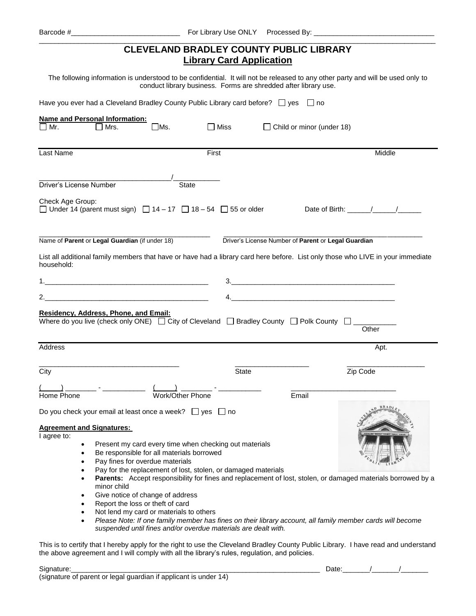| <b>CLEVELAND BRADLEY COUNTY PUBLIC LIBRARY</b><br><b>Library Card Application</b>                                                                                                                  |                                                                                                                       |                                                                                                                                                             |                                                                                                                                                                                           |                                                                                                             |                                                                                                           |                                                                                                                                                                                                                                                     |
|----------------------------------------------------------------------------------------------------------------------------------------------------------------------------------------------------|-----------------------------------------------------------------------------------------------------------------------|-------------------------------------------------------------------------------------------------------------------------------------------------------------|-------------------------------------------------------------------------------------------------------------------------------------------------------------------------------------------|-------------------------------------------------------------------------------------------------------------|-----------------------------------------------------------------------------------------------------------|-----------------------------------------------------------------------------------------------------------------------------------------------------------------------------------------------------------------------------------------------------|
| The following information is understood to be confidential. It will not be released to any other party and will be used only to<br>conduct library business. Forms are shredded after library use. |                                                                                                                       |                                                                                                                                                             |                                                                                                                                                                                           |                                                                                                             |                                                                                                           |                                                                                                                                                                                                                                                     |
| Have you ever had a Cleveland Bradley County Public Library card before? $\Box$ yes $\Box$ no                                                                                                      |                                                                                                                       |                                                                                                                                                             |                                                                                                                                                                                           |                                                                                                             |                                                                                                           |                                                                                                                                                                                                                                                     |
|                                                                                                                                                                                                    | Name and Personal Information:                                                                                        |                                                                                                                                                             |                                                                                                                                                                                           |                                                                                                             |                                                                                                           |                                                                                                                                                                                                                                                     |
| $\square$ Mr.                                                                                                                                                                                      | $\Box$ Mrs.                                                                                                           | $\Box$ Ms.                                                                                                                                                  | $\Box$ Miss                                                                                                                                                                               |                                                                                                             | $\Box$ Child or minor (under 18)                                                                          |                                                                                                                                                                                                                                                     |
| Last Name                                                                                                                                                                                          |                                                                                                                       |                                                                                                                                                             | First                                                                                                                                                                                     |                                                                                                             |                                                                                                           | Middle                                                                                                                                                                                                                                              |
|                                                                                                                                                                                                    |                                                                                                                       |                                                                                                                                                             |                                                                                                                                                                                           |                                                                                                             |                                                                                                           |                                                                                                                                                                                                                                                     |
| Driver's License Number                                                                                                                                                                            |                                                                                                                       | <b>State</b>                                                                                                                                                |                                                                                                                                                                                           |                                                                                                             |                                                                                                           |                                                                                                                                                                                                                                                     |
| Check Age Group:                                                                                                                                                                                   |                                                                                                                       |                                                                                                                                                             | □ Under 14 (parent must sign) $\Box$ 14 - 17 $\Box$ 18 - 54 $\Box$ 55 or older                                                                                                            |                                                                                                             |                                                                                                           |                                                                                                                                                                                                                                                     |
|                                                                                                                                                                                                    | Name of Parent or Legal Guardian (if under 18)                                                                        |                                                                                                                                                             |                                                                                                                                                                                           |                                                                                                             | Driver's License Number of Parent or Legal Guardian                                                       |                                                                                                                                                                                                                                                     |
| household:                                                                                                                                                                                         |                                                                                                                       |                                                                                                                                                             |                                                                                                                                                                                           |                                                                                                             |                                                                                                           | List all additional family members that have or have had a library card here before. List only those who LIVE in your immediate                                                                                                                     |
|                                                                                                                                                                                                    |                                                                                                                       |                                                                                                                                                             |                                                                                                                                                                                           |                                                                                                             |                                                                                                           |                                                                                                                                                                                                                                                     |
|                                                                                                                                                                                                    |                                                                                                                       |                                                                                                                                                             |                                                                                                                                                                                           |                                                                                                             |                                                                                                           |                                                                                                                                                                                                                                                     |
| Address                                                                                                                                                                                            | <b>Residency, Address, Phone, and Email:</b>                                                                          |                                                                                                                                                             |                                                                                                                                                                                           | Where do you live (check only ONE) $\Box$ City of Cleveland $\Box$ Bradley County $\Box$ Polk County $\Box$ |                                                                                                           | Other<br>Apt.                                                                                                                                                                                                                                       |
|                                                                                                                                                                                                    |                                                                                                                       |                                                                                                                                                             |                                                                                                                                                                                           |                                                                                                             |                                                                                                           |                                                                                                                                                                                                                                                     |
| City                                                                                                                                                                                               |                                                                                                                       |                                                                                                                                                             | State                                                                                                                                                                                     |                                                                                                             | Zip Code                                                                                                  |                                                                                                                                                                                                                                                     |
| Home Phone                                                                                                                                                                                         |                                                                                                                       | Work/Other Phone                                                                                                                                            |                                                                                                                                                                                           | Email                                                                                                       |                                                                                                           |                                                                                                                                                                                                                                                     |
|                                                                                                                                                                                                    |                                                                                                                       |                                                                                                                                                             |                                                                                                                                                                                           |                                                                                                             |                                                                                                           | <b>BRADI</b>                                                                                                                                                                                                                                        |
| <b>Agreement and Signatures:</b><br>I agree to:                                                                                                                                                    | Do you check your email at least once a week? $\Box$ yes $\Box$ no<br>minor child<br>Report the loss or theft of card | Be responsible for all materials borrowed<br>Pay fines for overdue materials<br>Give notice of change of address<br>Not lend my card or materials to others | Present my card every time when checking out materials<br>Pay for the replacement of lost, stolen, or damaged materials<br>suspended until fines and/or overdue materials are dealt with. |                                                                                                             | Please Note: If one family member has fines on their library account, all family member cards will become | Parents: Accept responsibility for fines and replacement of lost, stolen, or damaged materials borrowed by a<br>This is to certify that I hereby apply for the right to use the Cleveland Bradley County Public Library. I have read and understand |
|                                                                                                                                                                                                    |                                                                                                                       |                                                                                                                                                             |                                                                                                                                                                                           | the above agreement and I will comply with all the library's rules, regulation, and policies.               |                                                                                                           |                                                                                                                                                                                                                                                     |

Signature:\_\_\_\_\_\_\_\_\_\_\_\_\_\_\_\_\_\_\_\_\_\_\_\_\_\_\_\_\_\_\_\_\_\_\_\_\_\_\_\_\_\_\_\_\_\_\_\_\_\_\_\_\_\_\_\_\_\_\_\_\_\_\_\_ Date:\_\_\_\_\_\_\_/\_\_\_\_\_\_\_/\_\_\_\_\_\_\_ (signature of parent or legal guardian if applicant is under 14)